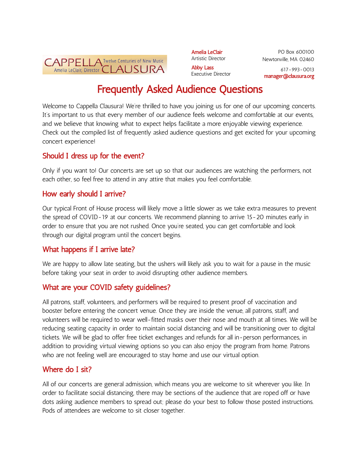

Amelia LeClair Artistic Director Abby Lass

PO Box 600100 Newtonville, MA 02460

Executive Director

617-993-0013 manager@clausura.org

# Frequently Asked Audience Questions

Welcome to Cappella Clausura! We're thrilled to have you joining us for one of our upcoming concerts. It's important to us that every member of our audience feels welcome and comfortable at our events, and we believe that knowing what to expect helps facilitate a more enjoyable viewing experience. Check out the compiled list of frequently asked audience questions and get excited for your upcoming concert experience!

#### Should I dress up for the event?

Only if you want to! Our concerts are set up so that our audiences are watching the performers, not each other, so feel free to attend in any attire that makes you feel comfortable.

#### How early should I arrive?

Our typical Front of House process will likely move a little slower as we take extra measures to prevent the spread of COVID-19 at our concerts. We recommend planning to arrive 15-20 minutes early in order to ensure that you are not rushed. Once you're seated, you can get comfortable and look through our digital program until the concert begins.

## What happens if I arrive late?

We are happy to allow late seating, but the ushers will likely ask you to wait for a pause in the music before taking your seat in order to avoid disrupting other audience members.

## What are your COVID safety guidelines?

All patrons, staff, volunteers, and performers will be required to present proof of vaccination and booster before entering the concert venue. Once they are inside the venue, all patrons, staff, and volunteers will be required to wear well-fitted masks over their nose and mouth at all times. We will be reducing seating capacity in order to maintain social distancing and will be transitioning over to digital tickets. We will be glad to offer free ticket exchanges and refunds for all in-person performances, in addition to providing virtual viewing options so you can also enjoy the program from home. Patrons who are not feeling well are encouraged to stay home and use our virtual option.

## Where do I sit?

All of our concerts are general admission, which means you are welcome to sit wherever you like. In order to facilitate social distancing, there may be sections of the audience that are roped off or have dots asking audience members to spread out; please do your best to follow those posted instructions. Pods of attendees are welcome to sit closer together.